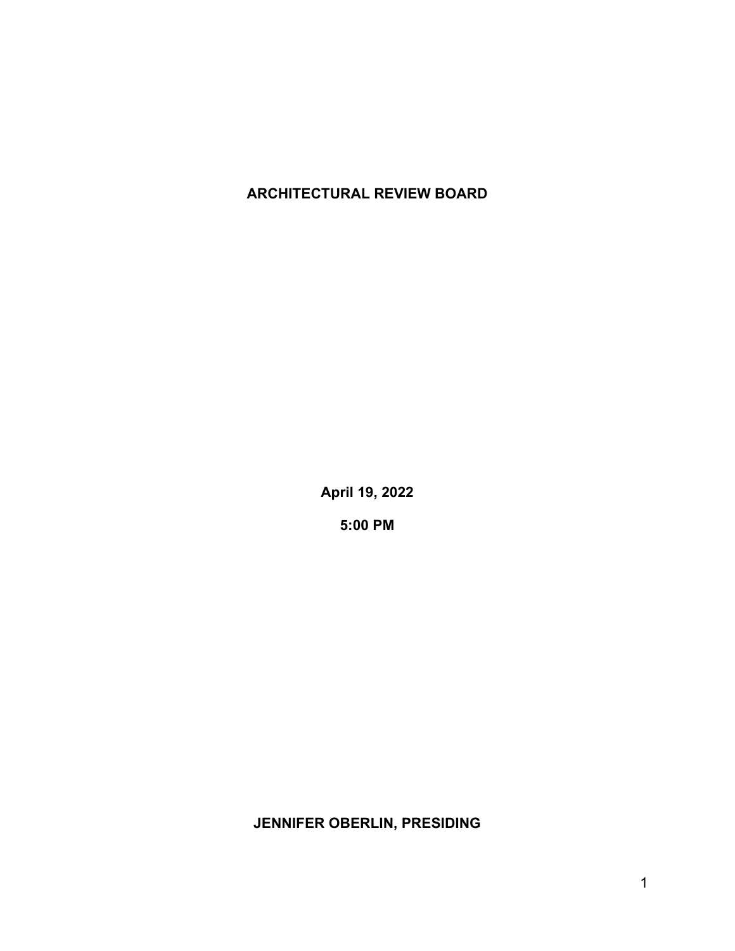## **ARCHITECTURAL REVIEW BOARD**

**April 19, 2022**

**5:00 PM**

**JENNIFER OBERLIN, PRESIDING**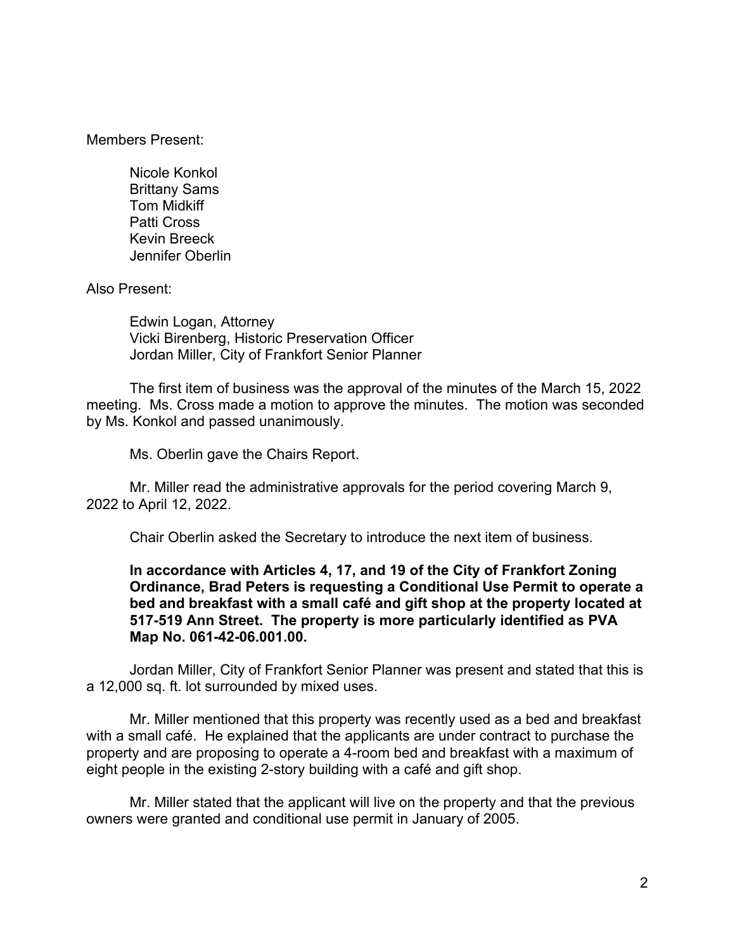Members Present:

Nicole Konkol Brittany Sams Tom Midkiff Patti Cross Kevin Breeck Jennifer Oberlin

Also Present:

Edwin Logan, Attorney Vicki Birenberg, Historic Preservation Officer Jordan Miller, City of Frankfort Senior Planner

The first item of business was the approval of the minutes of the March 15, 2022 meeting. Ms. Cross made a motion to approve the minutes. The motion was seconded by Ms. Konkol and passed unanimously.

Ms. Oberlin gave the Chairs Report.

Mr. Miller read the administrative approvals for the period covering March 9, 2022 to April 12, 2022.

Chair Oberlin asked the Secretary to introduce the next item of business.

## **In accordance with Articles 4, 17, and 19 of the City of Frankfort Zoning Ordinance, Brad Peters is requesting a Conditional Use Permit to operate a bed and breakfast with a small café and gift shop at the property located at 517-519 Ann Street. The property is more particularly identified as PVA Map No. 061-42-06.001.00.**

Jordan Miller, City of Frankfort Senior Planner was present and stated that this is a 12,000 sq. ft. lot surrounded by mixed uses.

Mr. Miller mentioned that this property was recently used as a bed and breakfast with a small café. He explained that the applicants are under contract to purchase the property and are proposing to operate a 4-room bed and breakfast with a maximum of eight people in the existing 2-story building with a café and gift shop.

Mr. Miller stated that the applicant will live on the property and that the previous owners were granted and conditional use permit in January of 2005.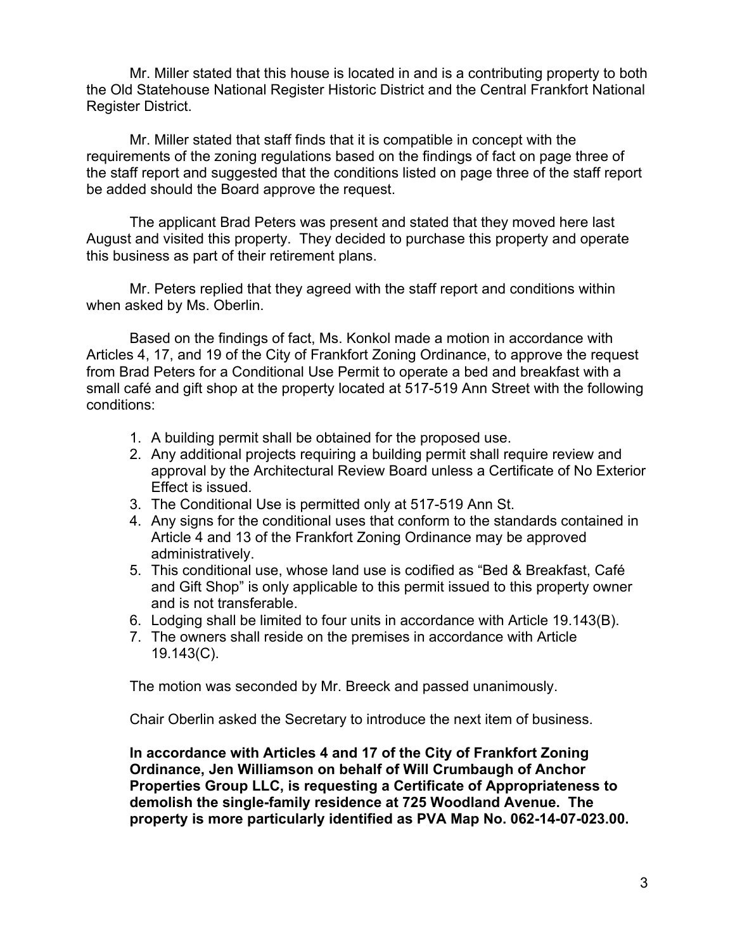Mr. Miller stated that this house is located in and is a contributing property to both the Old Statehouse National Register Historic District and the Central Frankfort National Register District.

Mr. Miller stated that staff finds that it is compatible in concept with the requirements of the zoning regulations based on the findings of fact on page three of the staff report and suggested that the conditions listed on page three of the staff report be added should the Board approve the request.

The applicant Brad Peters was present and stated that they moved here last August and visited this property. They decided to purchase this property and operate this business as part of their retirement plans.

Mr. Peters replied that they agreed with the staff report and conditions within when asked by Ms. Oberlin.

Based on the findings of fact, Ms. Konkol made a motion in accordance with Articles 4, 17, and 19 of the City of Frankfort Zoning Ordinance, to approve the request from Brad Peters for a Conditional Use Permit to operate a bed and breakfast with a small café and gift shop at the property located at 517-519 Ann Street with the following conditions:

- 1. A building permit shall be obtained for the proposed use.
- 2. Any additional projects requiring a building permit shall require review and approval by the Architectural Review Board unless a Certificate of No Exterior Effect is issued.
- 3. The Conditional Use is permitted only at 517-519 Ann St.
- 4. Any signs for the conditional uses that conform to the standards contained in Article 4 and 13 of the Frankfort Zoning Ordinance may be approved administratively.
- 5. This conditional use, whose land use is codified as "Bed & Breakfast, Café and Gift Shop" is only applicable to this permit issued to this property owner and is not transferable.
- 6. Lodging shall be limited to four units in accordance with Article 19.143(B).
- 7. The owners shall reside on the premises in accordance with Article 19.143(C).

The motion was seconded by Mr. Breeck and passed unanimously.

Chair Oberlin asked the Secretary to introduce the next item of business.

**In accordance with Articles 4 and 17 of the City of Frankfort Zoning Ordinance, Jen Williamson on behalf of Will Crumbaugh of Anchor Properties Group LLC, is requesting a Certificate of Appropriateness to demolish the single-family residence at 725 Woodland Avenue. The property is more particularly identified as PVA Map No. 062-14-07-023.00.**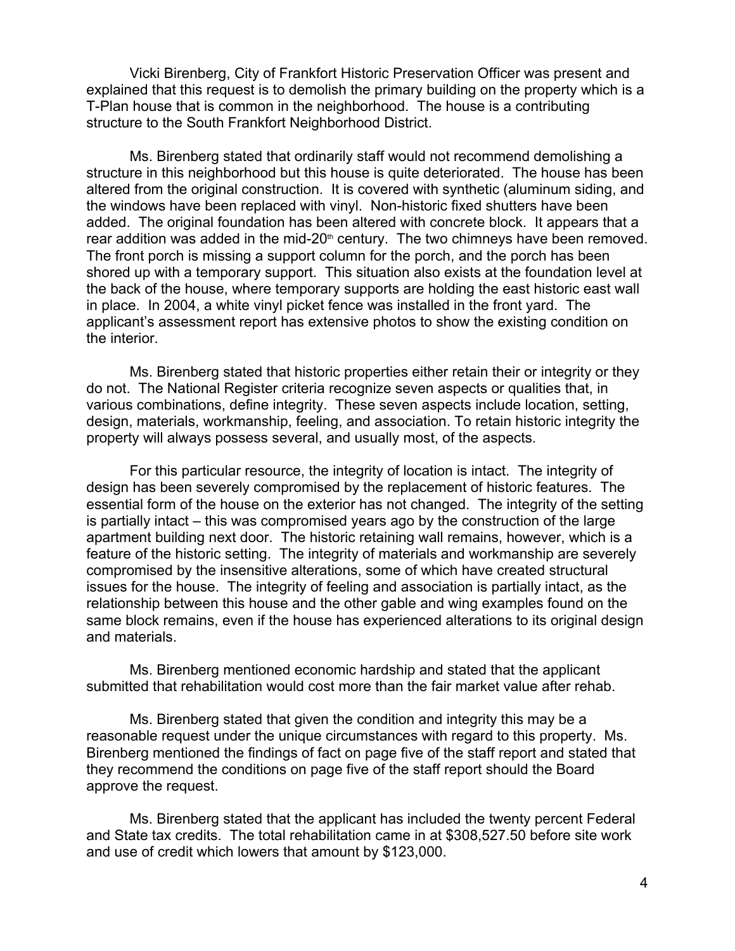Vicki Birenberg, City of Frankfort Historic Preservation Officer was present and explained that this request is to demolish the primary building on the property which is a T-Plan house that is common in the neighborhood. The house is a contributing structure to the South Frankfort Neighborhood District.

Ms. Birenberg stated that ordinarily staff would not recommend demolishing a structure in this neighborhood but this house is quite deteriorated. The house has been altered from the original construction. It is covered with synthetic (aluminum siding, and the windows have been replaced with vinyl. Non-historic fixed shutters have been added. The original foundation has been altered with concrete block. It appears that a rear addition was added in the mid-20<sup>th</sup> century. The two chimneys have been removed. The front porch is missing a support column for the porch, and the porch has been shored up with a temporary support. This situation also exists at the foundation level at the back of the house, where temporary supports are holding the east historic east wall in place. In 2004, a white vinyl picket fence was installed in the front yard. The applicant's assessment report has extensive photos to show the existing condition on the interior.

Ms. Birenberg stated that historic properties either retain their or integrity or they do not. The National Register criteria recognize seven aspects or qualities that, in various combinations, define integrity. These seven aspects include location, setting, design, materials, workmanship, feeling, and association. To retain historic integrity the property will always possess several, and usually most, of the aspects.

For this particular resource, the integrity of location is intact. The integrity of design has been severely compromised by the replacement of historic features. The essential form of the house on the exterior has not changed. The integrity of the setting is partially intact – this was compromised years ago by the construction of the large apartment building next door. The historic retaining wall remains, however, which is a feature of the historic setting. The integrity of materials and workmanship are severely compromised by the insensitive alterations, some of which have created structural issues for the house. The integrity of feeling and association is partially intact, as the relationship between this house and the other gable and wing examples found on the same block remains, even if the house has experienced alterations to its original design and materials.

Ms. Birenberg mentioned economic hardship and stated that the applicant submitted that rehabilitation would cost more than the fair market value after rehab.

Ms. Birenberg stated that given the condition and integrity this may be a reasonable request under the unique circumstances with regard to this property. Ms. Birenberg mentioned the findings of fact on page five of the staff report and stated that they recommend the conditions on page five of the staff report should the Board approve the request.

Ms. Birenberg stated that the applicant has included the twenty percent Federal and State tax credits. The total rehabilitation came in at \$308,527.50 before site work and use of credit which lowers that amount by \$123,000.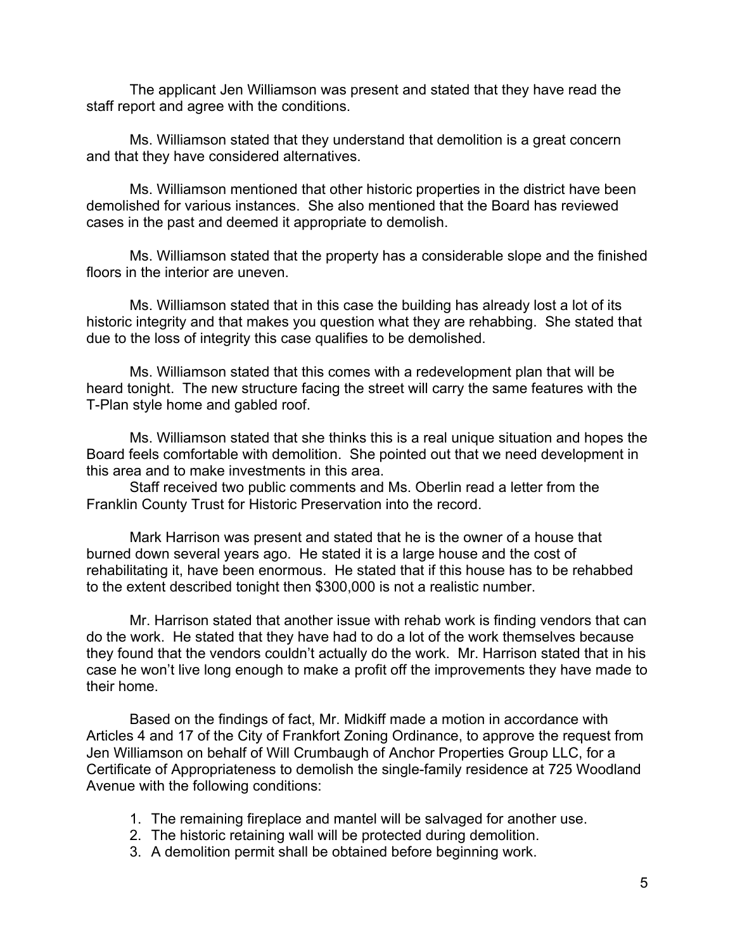The applicant Jen Williamson was present and stated that they have read the staff report and agree with the conditions.

Ms. Williamson stated that they understand that demolition is a great concern and that they have considered alternatives.

Ms. Williamson mentioned that other historic properties in the district have been demolished for various instances. She also mentioned that the Board has reviewed cases in the past and deemed it appropriate to demolish.

Ms. Williamson stated that the property has a considerable slope and the finished floors in the interior are uneven.

Ms. Williamson stated that in this case the building has already lost a lot of its historic integrity and that makes you question what they are rehabbing. She stated that due to the loss of integrity this case qualifies to be demolished.

Ms. Williamson stated that this comes with a redevelopment plan that will be heard tonight. The new structure facing the street will carry the same features with the T-Plan style home and gabled roof.

Ms. Williamson stated that she thinks this is a real unique situation and hopes the Board feels comfortable with demolition. She pointed out that we need development in this area and to make investments in this area.

Staff received two public comments and Ms. Oberlin read a letter from the Franklin County Trust for Historic Preservation into the record.

Mark Harrison was present and stated that he is the owner of a house that burned down several years ago. He stated it is a large house and the cost of rehabilitating it, have been enormous. He stated that if this house has to be rehabbed to the extent described tonight then \$300,000 is not a realistic number.

Mr. Harrison stated that another issue with rehab work is finding vendors that can do the work. He stated that they have had to do a lot of the work themselves because they found that the vendors couldn't actually do the work. Mr. Harrison stated that in his case he won't live long enough to make a profit off the improvements they have made to their home.

Based on the findings of fact, Mr. Midkiff made a motion in accordance with Articles 4 and 17 of the City of Frankfort Zoning Ordinance, to approve the request from Jen Williamson on behalf of Will Crumbaugh of Anchor Properties Group LLC, for a Certificate of Appropriateness to demolish the single-family residence at 725 Woodland Avenue with the following conditions:

- 1. The remaining fireplace and mantel will be salvaged for another use.
- 2. The historic retaining wall will be protected during demolition.
- 3. A demolition permit shall be obtained before beginning work.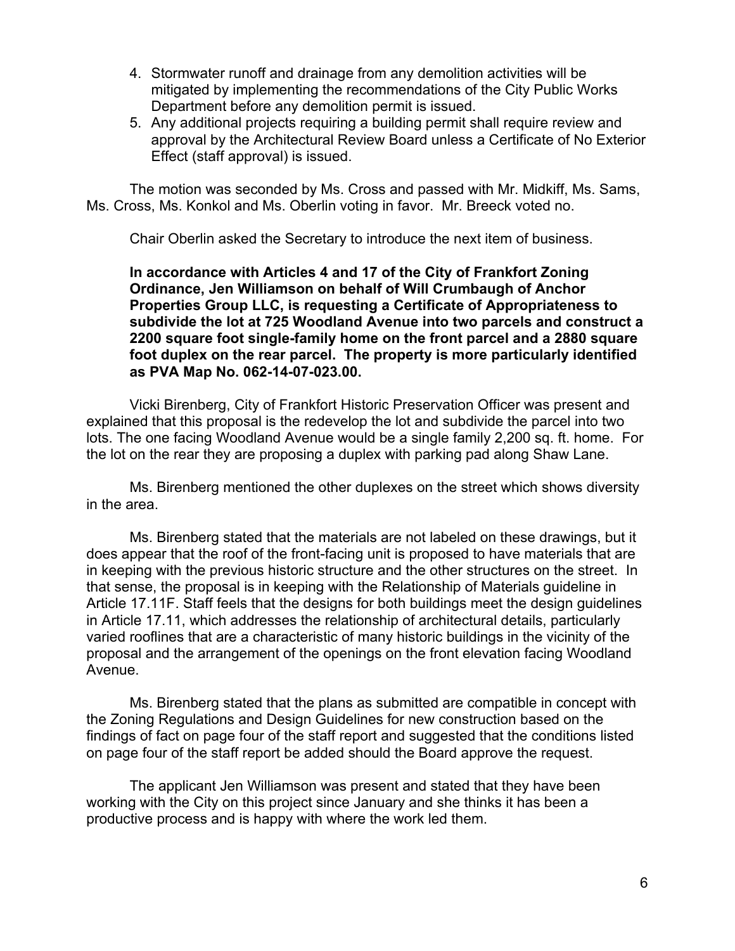- 4. Stormwater runoff and drainage from any demolition activities will be mitigated by implementing the recommendations of the City Public Works Department before any demolition permit is issued.
- 5. Any additional projects requiring a building permit shall require review and approval by the Architectural Review Board unless a Certificate of No Exterior Effect (staff approval) is issued.

The motion was seconded by Ms. Cross and passed with Mr. Midkiff, Ms. Sams, Ms. Cross, Ms. Konkol and Ms. Oberlin voting in favor. Mr. Breeck voted no.

Chair Oberlin asked the Secretary to introduce the next item of business.

**In accordance with Articles 4 and 17 of the City of Frankfort Zoning Ordinance, Jen Williamson on behalf of Will Crumbaugh of Anchor Properties Group LLC, is requesting a Certificate of Appropriateness to subdivide the lot at 725 Woodland Avenue into two parcels and construct a 2200 square foot single-family home on the front parcel and a 2880 square foot duplex on the rear parcel. The property is more particularly identified as PVA Map No. 062-14-07-023.00.**

Vicki Birenberg, City of Frankfort Historic Preservation Officer was present and explained that this proposal is the redevelop the lot and subdivide the parcel into two lots. The one facing Woodland Avenue would be a single family 2,200 sq. ft. home. For the lot on the rear they are proposing a duplex with parking pad along Shaw Lane.

Ms. Birenberg mentioned the other duplexes on the street which shows diversity in the area.

Ms. Birenberg stated that the materials are not labeled on these drawings, but it does appear that the roof of the front-facing unit is proposed to have materials that are in keeping with the previous historic structure and the other structures on the street. In that sense, the proposal is in keeping with the Relationship of Materials guideline in Article 17.11F. Staff feels that the designs for both buildings meet the design guidelines in Article 17.11, which addresses the relationship of architectural details, particularly varied rooflines that are a characteristic of many historic buildings in the vicinity of the proposal and the arrangement of the openings on the front elevation facing Woodland Avenue.

Ms. Birenberg stated that the plans as submitted are compatible in concept with the Zoning Regulations and Design Guidelines for new construction based on the findings of fact on page four of the staff report and suggested that the conditions listed on page four of the staff report be added should the Board approve the request.

The applicant Jen Williamson was present and stated that they have been working with the City on this project since January and she thinks it has been a productive process and is happy with where the work led them.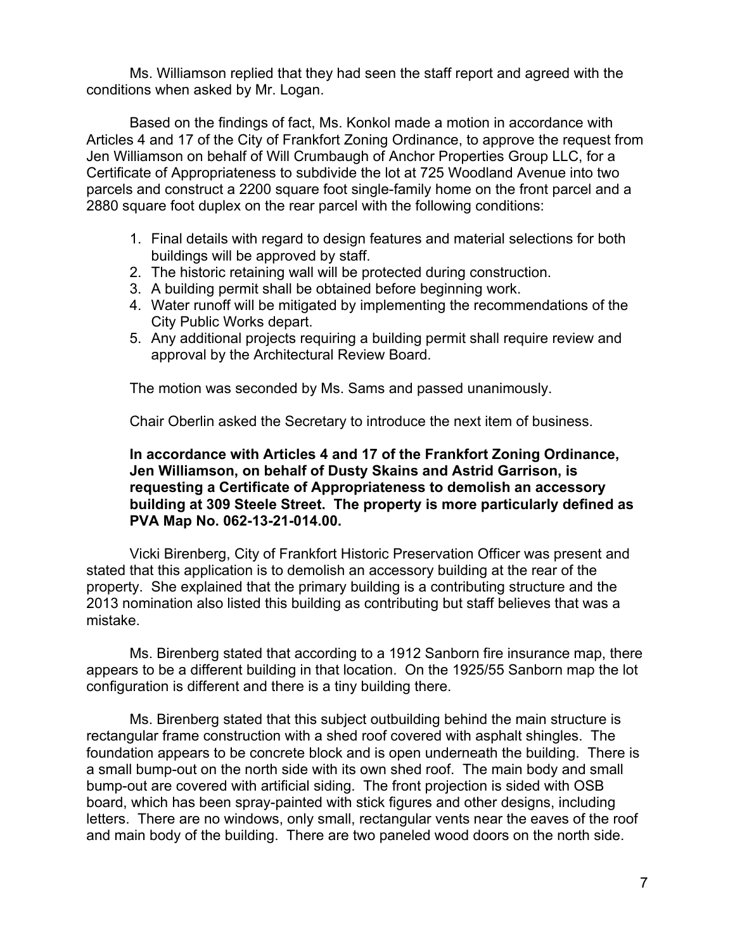Ms. Williamson replied that they had seen the staff report and agreed with the conditions when asked by Mr. Logan.

Based on the findings of fact, Ms. Konkol made a motion in accordance with Articles 4 and 17 of the City of Frankfort Zoning Ordinance, to approve the request from Jen Williamson on behalf of Will Crumbaugh of Anchor Properties Group LLC, for a Certificate of Appropriateness to subdivide the lot at 725 Woodland Avenue into two parcels and construct a 2200 square foot single-family home on the front parcel and a 2880 square foot duplex on the rear parcel with the following conditions:

- 1. Final details with regard to design features and material selections for both buildings will be approved by staff.
- 2. The historic retaining wall will be protected during construction.
- 3. A building permit shall be obtained before beginning work.
- 4. Water runoff will be mitigated by implementing the recommendations of the City Public Works depart.
- 5. Any additional projects requiring a building permit shall require review and approval by the Architectural Review Board.

The motion was seconded by Ms. Sams and passed unanimously.

Chair Oberlin asked the Secretary to introduce the next item of business.

## **In accordance with Articles 4 and 17 of the Frankfort Zoning Ordinance, Jen Williamson, on behalf of Dusty Skains and Astrid Garrison, is requesting a Certificate of Appropriateness to demolish an accessory building at 309 Steele Street. The property is more particularly defined as PVA Map No. 062-13-21-014.00.**

Vicki Birenberg, City of Frankfort Historic Preservation Officer was present and stated that this application is to demolish an accessory building at the rear of the property. She explained that the primary building is a contributing structure and the 2013 nomination also listed this building as contributing but staff believes that was a mistake.

Ms. Birenberg stated that according to a 1912 Sanborn fire insurance map, there appears to be a different building in that location. On the 1925/55 Sanborn map the lot configuration is different and there is a tiny building there.

Ms. Birenberg stated that this subject outbuilding behind the main structure is rectangular frame construction with a shed roof covered with asphalt shingles. The foundation appears to be concrete block and is open underneath the building. There is a small bump-out on the north side with its own shed roof. The main body and small bump-out are covered with artificial siding. The front projection is sided with OSB board, which has been spray-painted with stick figures and other designs, including letters. There are no windows, only small, rectangular vents near the eaves of the roof and main body of the building. There are two paneled wood doors on the north side.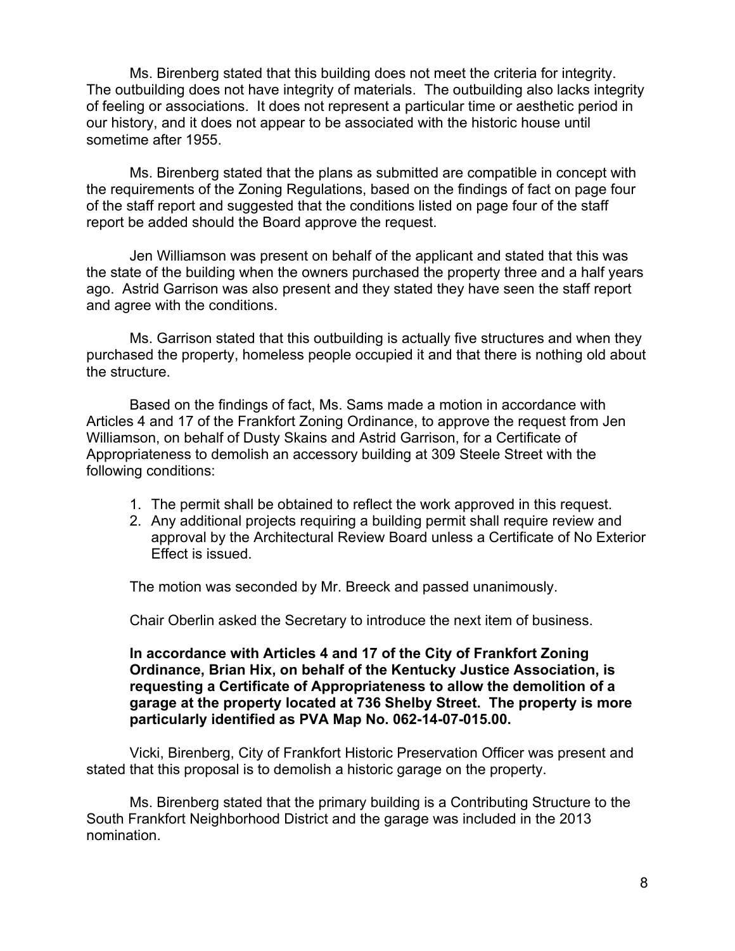Ms. Birenberg stated that this building does not meet the criteria for integrity. The outbuilding does not have integrity of materials. The outbuilding also lacks integrity of feeling or associations. It does not represent a particular time or aesthetic period in our history, and it does not appear to be associated with the historic house until sometime after 1955.

Ms. Birenberg stated that the plans as submitted are compatible in concept with the requirements of the Zoning Regulations, based on the findings of fact on page four of the staff report and suggested that the conditions listed on page four of the staff report be added should the Board approve the request.

Jen Williamson was present on behalf of the applicant and stated that this was the state of the building when the owners purchased the property three and a half years ago. Astrid Garrison was also present and they stated they have seen the staff report and agree with the conditions.

Ms. Garrison stated that this outbuilding is actually five structures and when they purchased the property, homeless people occupied it and that there is nothing old about the structure.

Based on the findings of fact, Ms. Sams made a motion in accordance with Articles 4 and 17 of the Frankfort Zoning Ordinance, to approve the request from Jen Williamson, on behalf of Dusty Skains and Astrid Garrison, for a Certificate of Appropriateness to demolish an accessory building at 309 Steele Street with the following conditions:

- 1. The permit shall be obtained to reflect the work approved in this request.
- 2. Any additional projects requiring a building permit shall require review and approval by the Architectural Review Board unless a Certificate of No Exterior Effect is issued.

The motion was seconded by Mr. Breeck and passed unanimously.

Chair Oberlin asked the Secretary to introduce the next item of business.

**In accordance with Articles 4 and 17 of the City of Frankfort Zoning Ordinance, Brian Hix, on behalf of the Kentucky Justice Association, is requesting a Certificate of Appropriateness to allow the demolition of a garage at the property located at 736 Shelby Street. The property is more particularly identified as PVA Map No. 062-14-07-015.00.**

Vicki, Birenberg, City of Frankfort Historic Preservation Officer was present and stated that this proposal is to demolish a historic garage on the property.

Ms. Birenberg stated that the primary building is a Contributing Structure to the South Frankfort Neighborhood District and the garage was included in the 2013 nomination.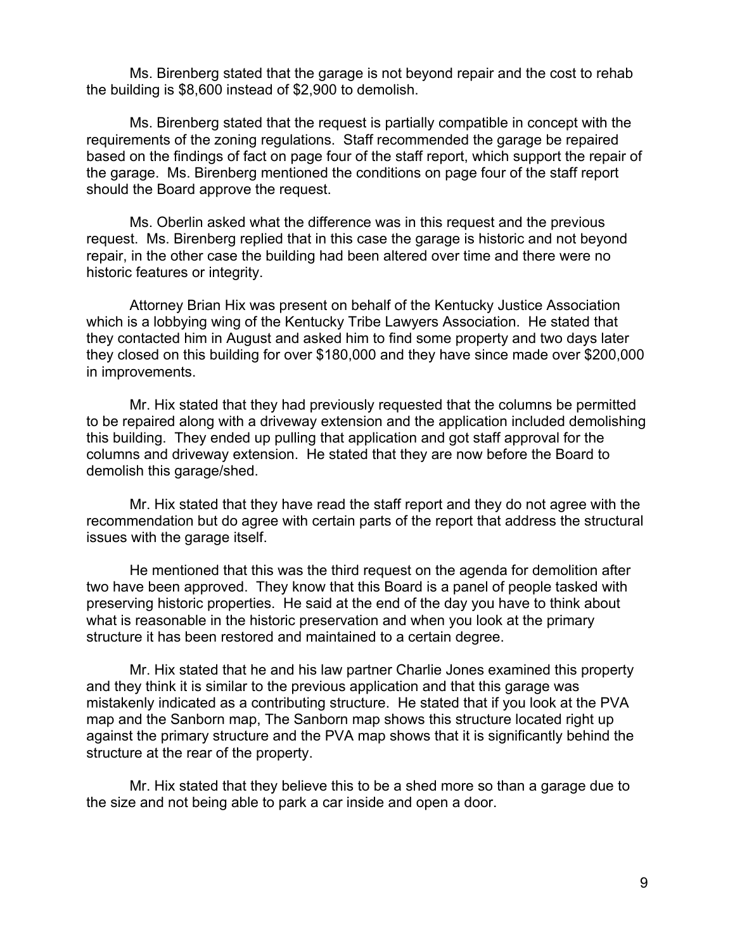Ms. Birenberg stated that the garage is not beyond repair and the cost to rehab the building is \$8,600 instead of \$2,900 to demolish.

Ms. Birenberg stated that the request is partially compatible in concept with the requirements of the zoning regulations. Staff recommended the garage be repaired based on the findings of fact on page four of the staff report, which support the repair of the garage. Ms. Birenberg mentioned the conditions on page four of the staff report should the Board approve the request.

Ms. Oberlin asked what the difference was in this request and the previous request. Ms. Birenberg replied that in this case the garage is historic and not beyond repair, in the other case the building had been altered over time and there were no historic features or integrity.

Attorney Brian Hix was present on behalf of the Kentucky Justice Association which is a lobbying wing of the Kentucky Tribe Lawyers Association. He stated that they contacted him in August and asked him to find some property and two days later they closed on this building for over \$180,000 and they have since made over \$200,000 in improvements.

Mr. Hix stated that they had previously requested that the columns be permitted to be repaired along with a driveway extension and the application included demolishing this building. They ended up pulling that application and got staff approval for the columns and driveway extension. He stated that they are now before the Board to demolish this garage/shed.

Mr. Hix stated that they have read the staff report and they do not agree with the recommendation but do agree with certain parts of the report that address the structural issues with the garage itself.

He mentioned that this was the third request on the agenda for demolition after two have been approved. They know that this Board is a panel of people tasked with preserving historic properties. He said at the end of the day you have to think about what is reasonable in the historic preservation and when you look at the primary structure it has been restored and maintained to a certain degree.

Mr. Hix stated that he and his law partner Charlie Jones examined this property and they think it is similar to the previous application and that this garage was mistakenly indicated as a contributing structure. He stated that if you look at the PVA map and the Sanborn map, The Sanborn map shows this structure located right up against the primary structure and the PVA map shows that it is significantly behind the structure at the rear of the property.

Mr. Hix stated that they believe this to be a shed more so than a garage due to the size and not being able to park a car inside and open a door.